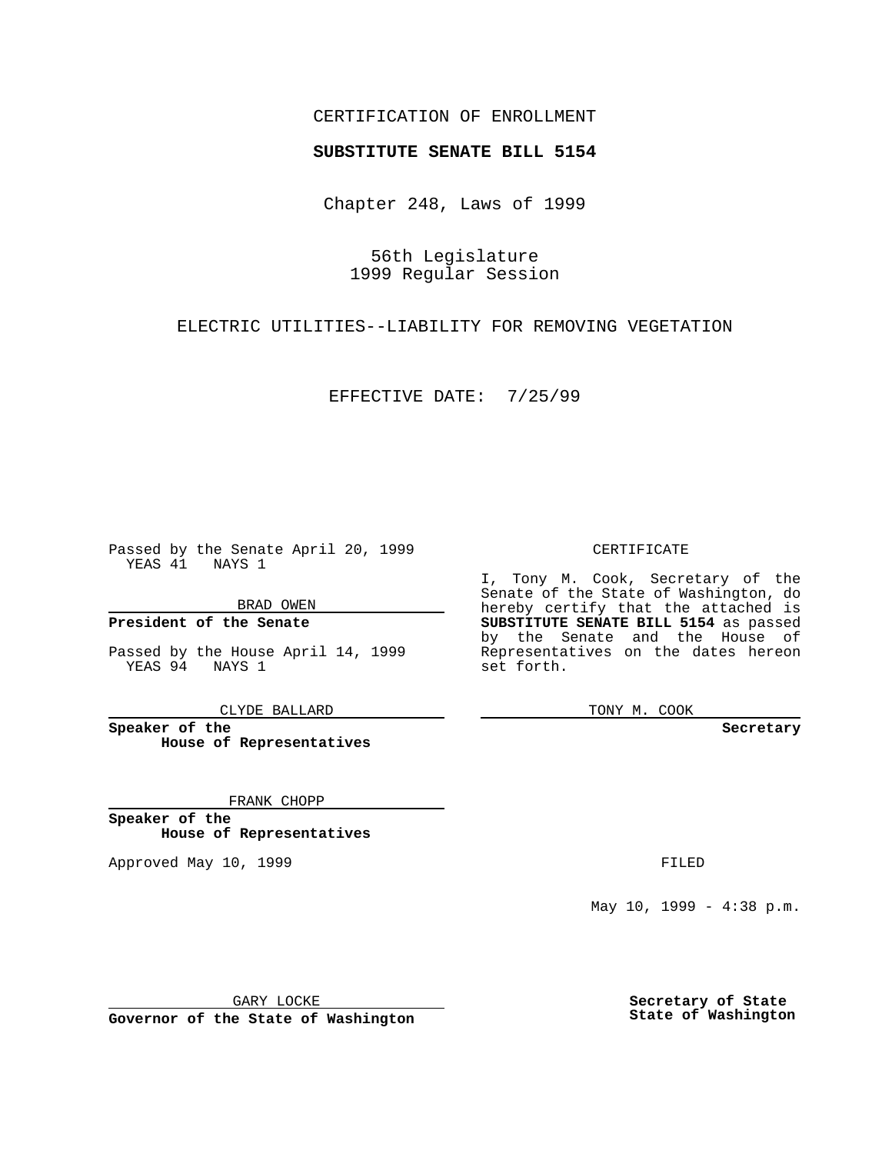## CERTIFICATION OF ENROLLMENT

## **SUBSTITUTE SENATE BILL 5154**

Chapter 248, Laws of 1999

56th Legislature 1999 Regular Session

ELECTRIC UTILITIES--LIABILITY FOR REMOVING VEGETATION

EFFECTIVE DATE: 7/25/99

Passed by the Senate April 20, 1999 YEAS 41 NAYS 1

BRAD OWEN

**President of the Senate**

Passed by the House April 14, 1999 YEAS 94 NAYS 1

CLYDE BALLARD

**Speaker of the House of Representatives**

FRANK CHOPP

**Speaker of the House of Representatives**

Approved May 10, 1999 **FILED** 

CERTIFICATE

I, Tony M. Cook, Secretary of the Senate of the State of Washington, do hereby certify that the attached is **SUBSTITUTE SENATE BILL 5154** as passed by the Senate and the House of Representatives on the dates hereon set forth.

TONY M. COOK

**Secretary**

May 10, 1999 - 4:38 p.m.

GARY LOCKE

**Governor of the State of Washington**

**Secretary of State State of Washington**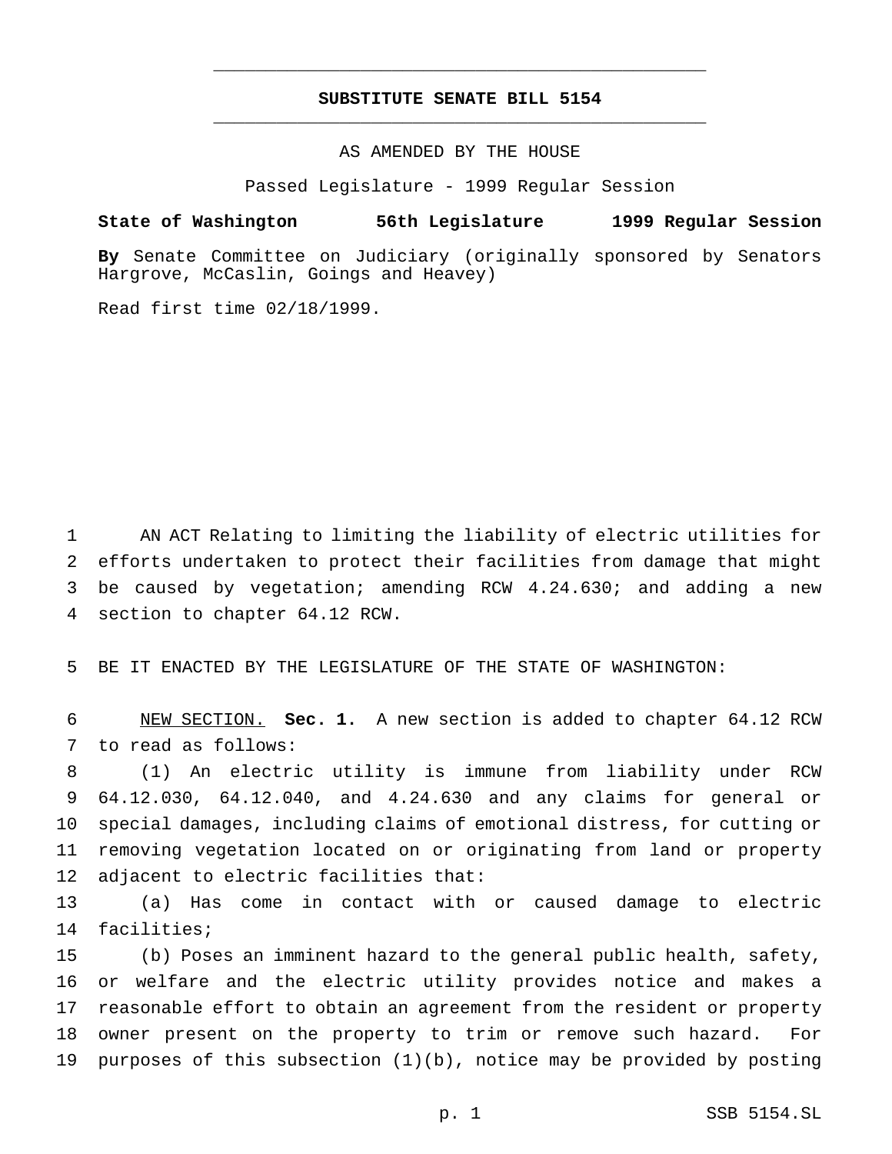## **SUBSTITUTE SENATE BILL 5154** \_\_\_\_\_\_\_\_\_\_\_\_\_\_\_\_\_\_\_\_\_\_\_\_\_\_\_\_\_\_\_\_\_\_\_\_\_\_\_\_\_\_\_\_\_\_\_

\_\_\_\_\_\_\_\_\_\_\_\_\_\_\_\_\_\_\_\_\_\_\_\_\_\_\_\_\_\_\_\_\_\_\_\_\_\_\_\_\_\_\_\_\_\_\_

AS AMENDED BY THE HOUSE

Passed Legislature - 1999 Regular Session

## **State of Washington 56th Legislature 1999 Regular Session**

**By** Senate Committee on Judiciary (originally sponsored by Senators Hargrove, McCaslin, Goings and Heavey)

Read first time 02/18/1999.

 AN ACT Relating to limiting the liability of electric utilities for efforts undertaken to protect their facilities from damage that might be caused by vegetation; amending RCW 4.24.630; and adding a new section to chapter 64.12 RCW.

BE IT ENACTED BY THE LEGISLATURE OF THE STATE OF WASHINGTON:

 NEW SECTION. **Sec. 1.** A new section is added to chapter 64.12 RCW to read as follows:

 (1) An electric utility is immune from liability under RCW 64.12.030, 64.12.040, and 4.24.630 and any claims for general or special damages, including claims of emotional distress, for cutting or removing vegetation located on or originating from land or property adjacent to electric facilities that:

 (a) Has come in contact with or caused damage to electric facilities;

 (b) Poses an imminent hazard to the general public health, safety, or welfare and the electric utility provides notice and makes a reasonable effort to obtain an agreement from the resident or property owner present on the property to trim or remove such hazard. For purposes of this subsection (1)(b), notice may be provided by posting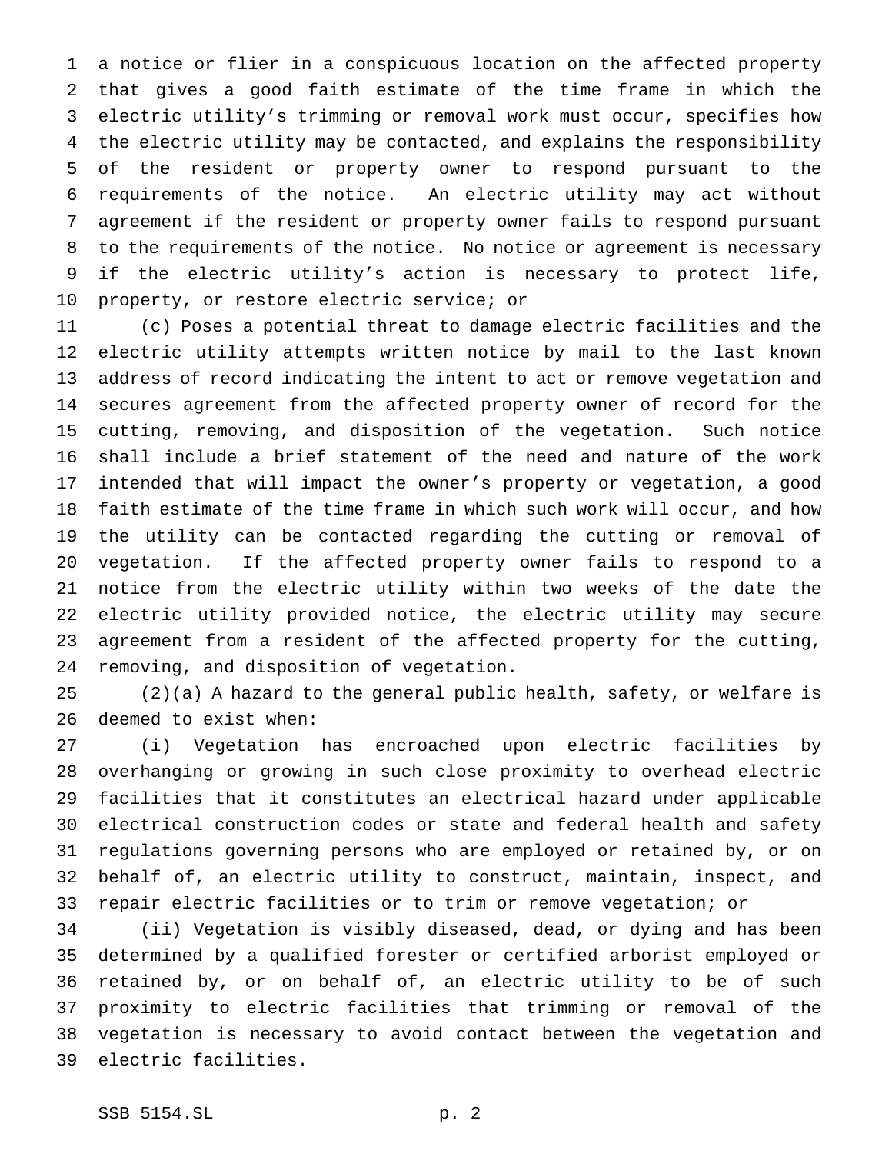a notice or flier in a conspicuous location on the affected property that gives a good faith estimate of the time frame in which the electric utility's trimming or removal work must occur, specifies how the electric utility may be contacted, and explains the responsibility of the resident or property owner to respond pursuant to the requirements of the notice. An electric utility may act without agreement if the resident or property owner fails to respond pursuant to the requirements of the notice. No notice or agreement is necessary if the electric utility's action is necessary to protect life, property, or restore electric service; or

 (c) Poses a potential threat to damage electric facilities and the electric utility attempts written notice by mail to the last known address of record indicating the intent to act or remove vegetation and secures agreement from the affected property owner of record for the cutting, removing, and disposition of the vegetation. Such notice shall include a brief statement of the need and nature of the work intended that will impact the owner's property or vegetation, a good faith estimate of the time frame in which such work will occur, and how the utility can be contacted regarding the cutting or removal of vegetation. If the affected property owner fails to respond to a notice from the electric utility within two weeks of the date the electric utility provided notice, the electric utility may secure agreement from a resident of the affected property for the cutting, removing, and disposition of vegetation.

 (2)(a) A hazard to the general public health, safety, or welfare is deemed to exist when:

 (i) Vegetation has encroached upon electric facilities by overhanging or growing in such close proximity to overhead electric facilities that it constitutes an electrical hazard under applicable electrical construction codes or state and federal health and safety regulations governing persons who are employed or retained by, or on behalf of, an electric utility to construct, maintain, inspect, and repair electric facilities or to trim or remove vegetation; or

 (ii) Vegetation is visibly diseased, dead, or dying and has been determined by a qualified forester or certified arborist employed or retained by, or on behalf of, an electric utility to be of such proximity to electric facilities that trimming or removal of the vegetation is necessary to avoid contact between the vegetation and electric facilities.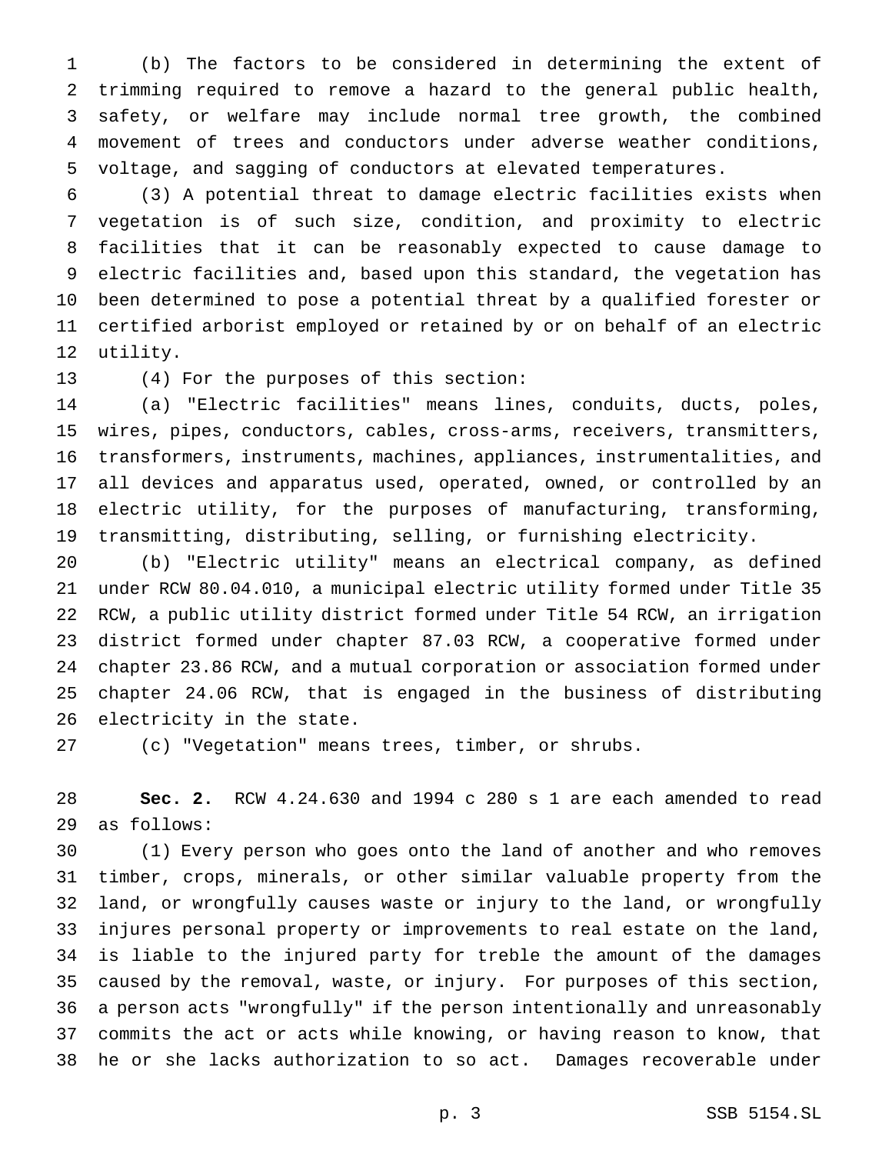(b) The factors to be considered in determining the extent of trimming required to remove a hazard to the general public health, safety, or welfare may include normal tree growth, the combined movement of trees and conductors under adverse weather conditions, voltage, and sagging of conductors at elevated temperatures.

 (3) A potential threat to damage electric facilities exists when vegetation is of such size, condition, and proximity to electric facilities that it can be reasonably expected to cause damage to electric facilities and, based upon this standard, the vegetation has been determined to pose a potential threat by a qualified forester or certified arborist employed or retained by or on behalf of an electric utility.

(4) For the purposes of this section:

 (a) "Electric facilities" means lines, conduits, ducts, poles, wires, pipes, conductors, cables, cross-arms, receivers, transmitters, transformers, instruments, machines, appliances, instrumentalities, and all devices and apparatus used, operated, owned, or controlled by an electric utility, for the purposes of manufacturing, transforming, transmitting, distributing, selling, or furnishing electricity.

 (b) "Electric utility" means an electrical company, as defined under RCW 80.04.010, a municipal electric utility formed under Title 35 RCW, a public utility district formed under Title 54 RCW, an irrigation district formed under chapter 87.03 RCW, a cooperative formed under chapter 23.86 RCW, and a mutual corporation or association formed under chapter 24.06 RCW, that is engaged in the business of distributing electricity in the state.

(c) "Vegetation" means trees, timber, or shrubs.

 **Sec. 2.** RCW 4.24.630 and 1994 c 280 s 1 are each amended to read as follows:

 (1) Every person who goes onto the land of another and who removes timber, crops, minerals, or other similar valuable property from the land, or wrongfully causes waste or injury to the land, or wrongfully injures personal property or improvements to real estate on the land, is liable to the injured party for treble the amount of the damages caused by the removal, waste, or injury. For purposes of this section, a person acts "wrongfully" if the person intentionally and unreasonably commits the act or acts while knowing, or having reason to know, that he or she lacks authorization to so act. Damages recoverable under